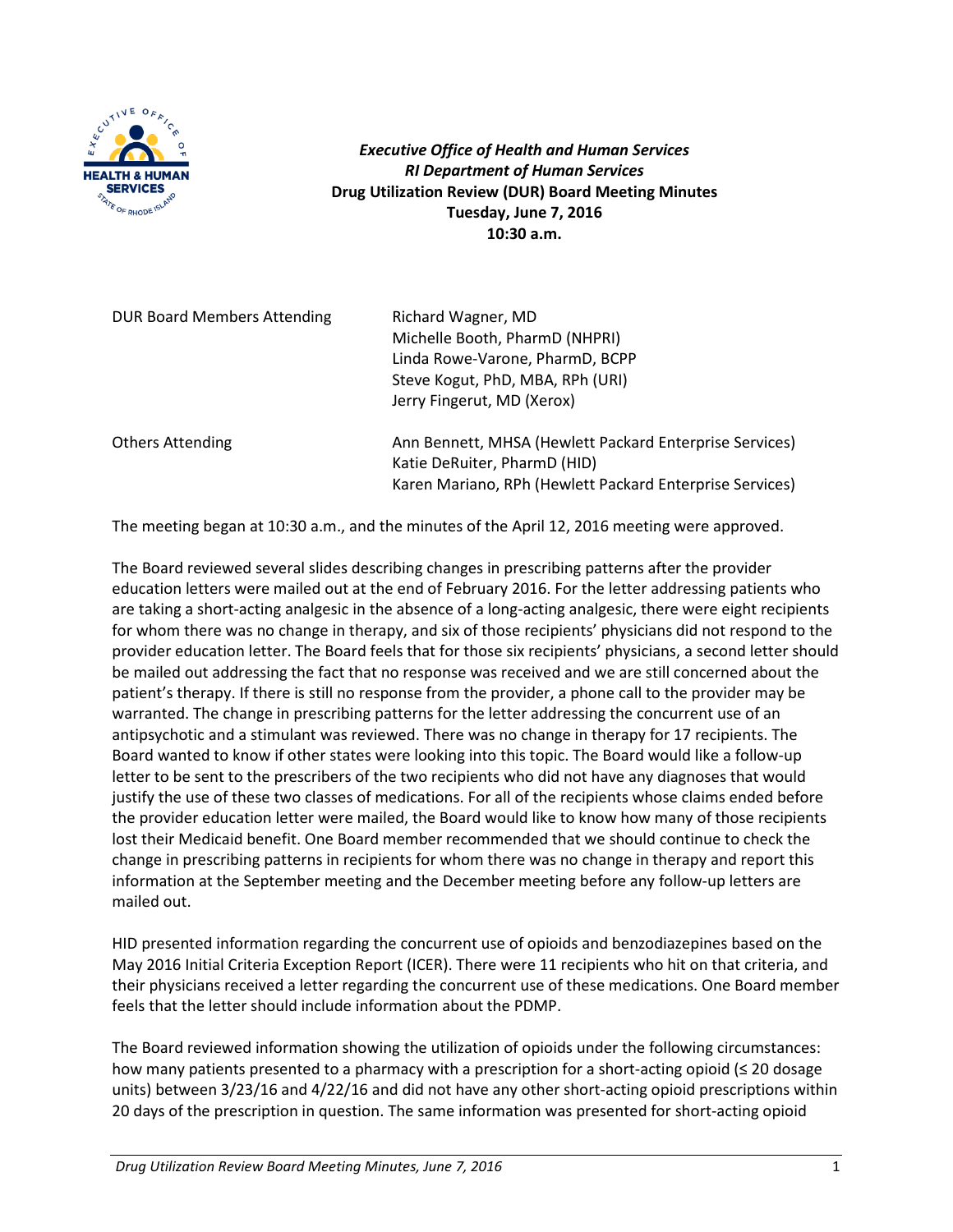

*Executive Office of Health and Human Services RI Department of Human Services* **Drug Utilization Review (DUR) Board Meeting Minutes Tuesday, June 7, 2016 10:30 a.m.**

| DUR Board Members Attending | Richard Wagner, MD<br>Michelle Booth, PharmD (NHPRI)<br>Linda Rowe-Varone, PharmD, BCPP<br>Steve Kogut, PhD, MBA, RPh (URI)<br>Jerry Fingerut, MD (Xerox) |
|-----------------------------|-----------------------------------------------------------------------------------------------------------------------------------------------------------|
| <b>Others Attending</b>     | Ann Bennett, MHSA (Hewlett Packard Enterprise Services)<br>Katie DeRuiter, PharmD (HID)<br>Karen Mariano, RPh (Hewlett Packard Enterprise Services)       |

The meeting began at 10:30 a.m., and the minutes of the April 12, 2016 meeting were approved.

The Board reviewed several slides describing changes in prescribing patterns after the provider education letters were mailed out at the end of February 2016. For the letter addressing patients who are taking a short-acting analgesic in the absence of a long-acting analgesic, there were eight recipients for whom there was no change in therapy, and six of those recipients' physicians did not respond to the provider education letter. The Board feels that for those six recipients' physicians, a second letter should be mailed out addressing the fact that no response was received and we are still concerned about the patient's therapy. If there is still no response from the provider, a phone call to the provider may be warranted. The change in prescribing patterns for the letter addressing the concurrent use of an antipsychotic and a stimulant was reviewed. There was no change in therapy for 17 recipients. The Board wanted to know if other states were looking into this topic. The Board would like a follow-up letter to be sent to the prescribers of the two recipients who did not have any diagnoses that would justify the use of these two classes of medications. For all of the recipients whose claims ended before the provider education letter were mailed, the Board would like to know how many of those recipients lost their Medicaid benefit. One Board member recommended that we should continue to check the change in prescribing patterns in recipients for whom there was no change in therapy and report this information at the September meeting and the December meeting before any follow-up letters are mailed out.

HID presented information regarding the concurrent use of opioids and benzodiazepines based on the May 2016 Initial Criteria Exception Report (ICER). There were 11 recipients who hit on that criteria, and their physicians received a letter regarding the concurrent use of these medications. One Board member feels that the letter should include information about the PDMP.

The Board reviewed information showing the utilization of opioids under the following circumstances: how many patients presented to a pharmacy with a prescription for a short-acting opioid (≤ 20 dosage units) between 3/23/16 and 4/22/16 and did not have any other short-acting opioid prescriptions within 20 days of the prescription in question. The same information was presented for short-acting opioid